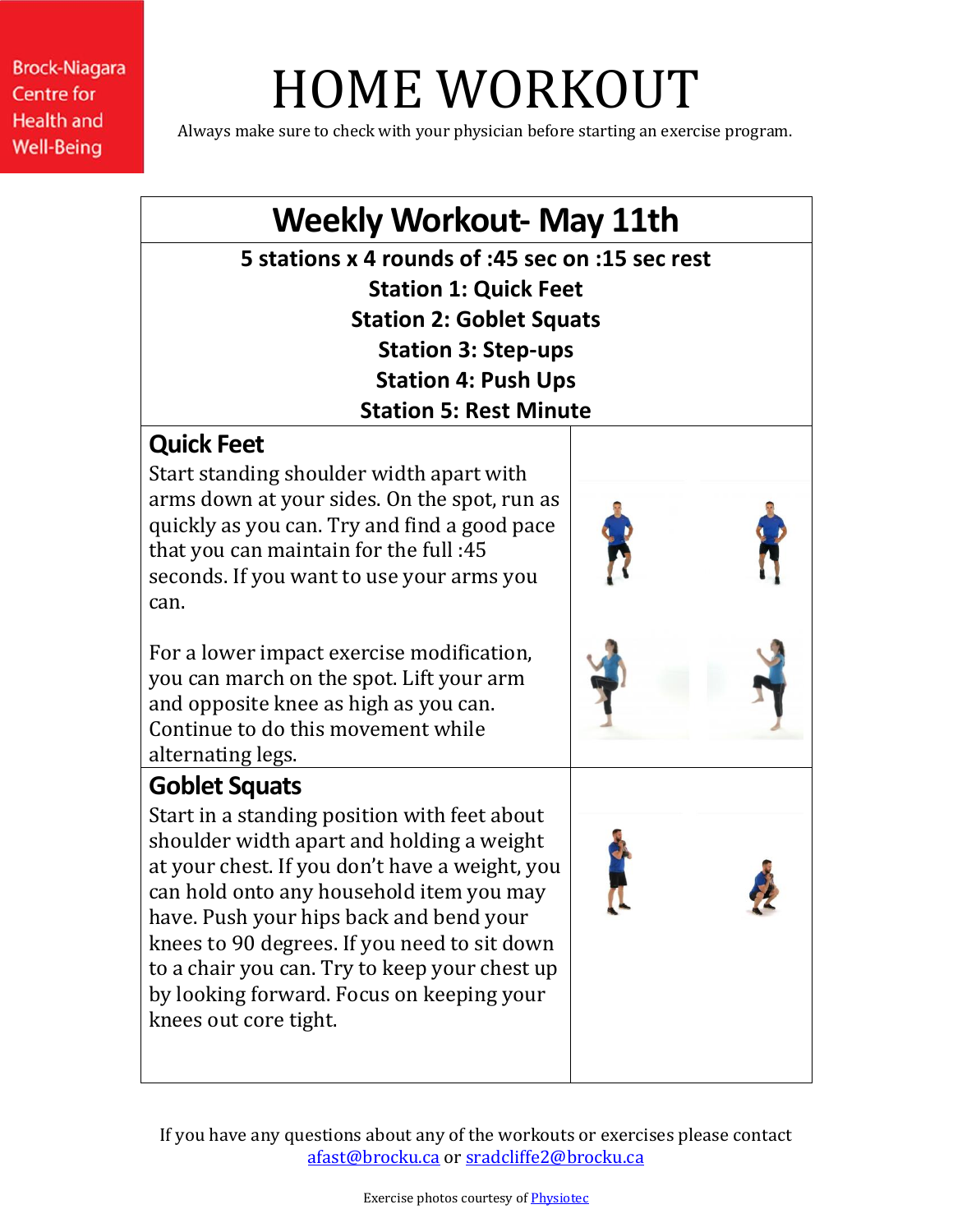# HOME WORKOUT

Always make sure to check with your physician before starting an exercise program.

## **Weekly Workout- May 11th**

**5 stations x 4 rounds of :45 sec on :15 sec rest Station 1: Quick Feet Station 2: Goblet Squats Station 3: Step-ups Station 4: Push Ups Station 5: Rest Minute**

## **Quick Feet**

Start standing shoulder width apart with arms down at your sides. On the spot, run as quickly as you can. Try and find a good pace that you can maintain for the full :45 seconds. If you want to use your arms you can.

For a lower impact exercise modification, you can march on the spot. Lift your arm and opposite knee as high as you can. Continue to do this movement while alternating legs.

## **Goblet Squats**

Start in a standing position with feet about shoulder width apart and holding a weight at your chest. If you don't have a weight, you can hold onto any household item you may have. Push your hips back and bend your knees to 90 degrees. If you need to sit down to a chair you can. Try to keep your chest up by looking forward. Focus on keeping your knees out core tight.

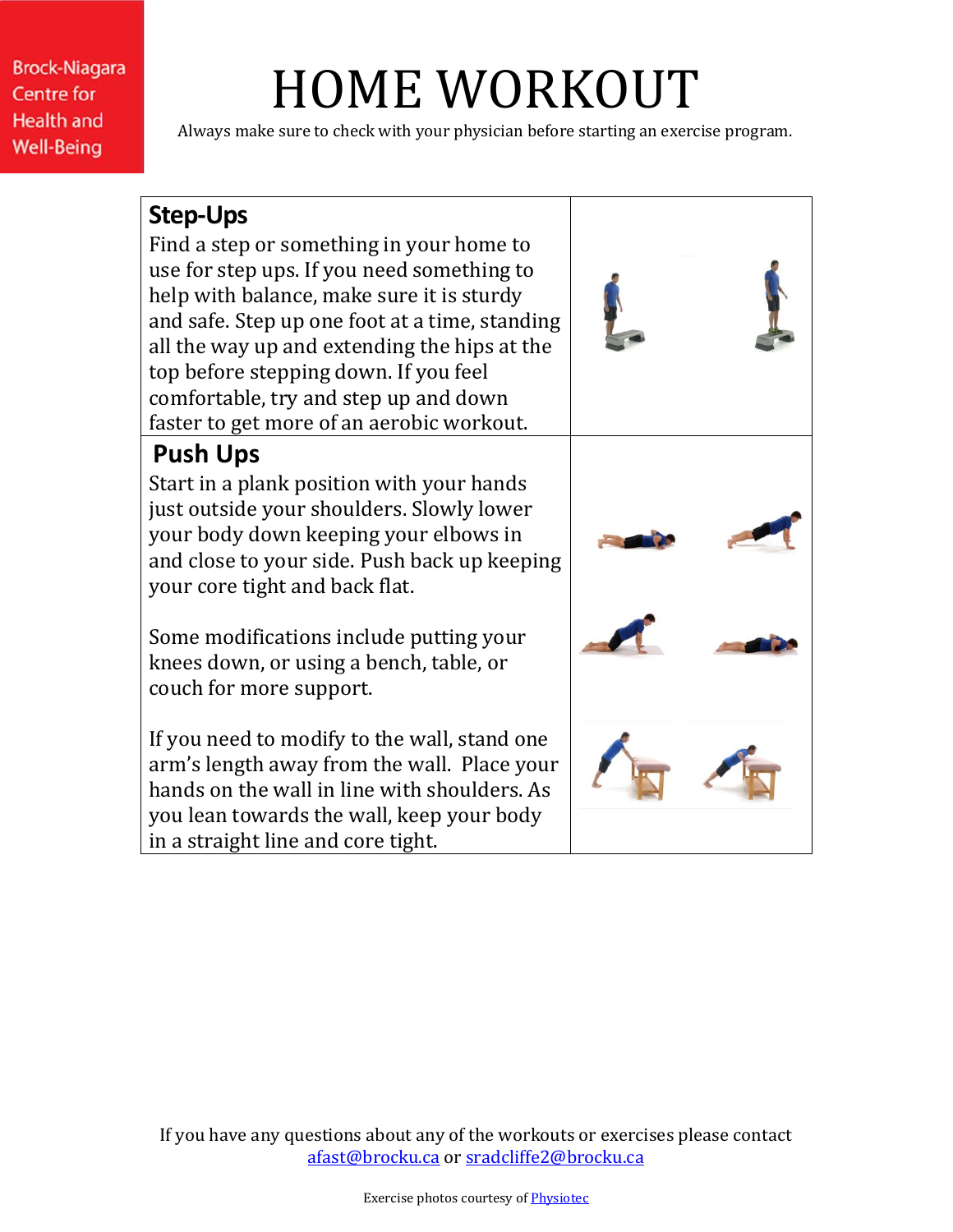## HOME WORKOUT

Always make sure to check with your physician before starting an exercise program.

#### **Step-Ups**

Find a step or something in your home to use for step ups. If you need something to help with balance, make sure it is sturdy and safe. Step up one foot at a time, standing all the way up and extending the hips at the top before stepping down. If you feel comfortable, try and step up and down faster to get more of an aerobic workout.

## **Push Ups**

Start in a plank position with your hands just outside your shoulders. Slowly lower your body down keeping your elbows in and close to your side. Push back up keeping your core tight and back flat.

Some modifications include putting your knees down, or using a bench, table, or couch for more support.

If you need to modify to the wall, stand one arm's length away from the wall. Place your hands on the wall in line with shoulders. As you lean towards the wall, keep your body in a straight line and core tight.

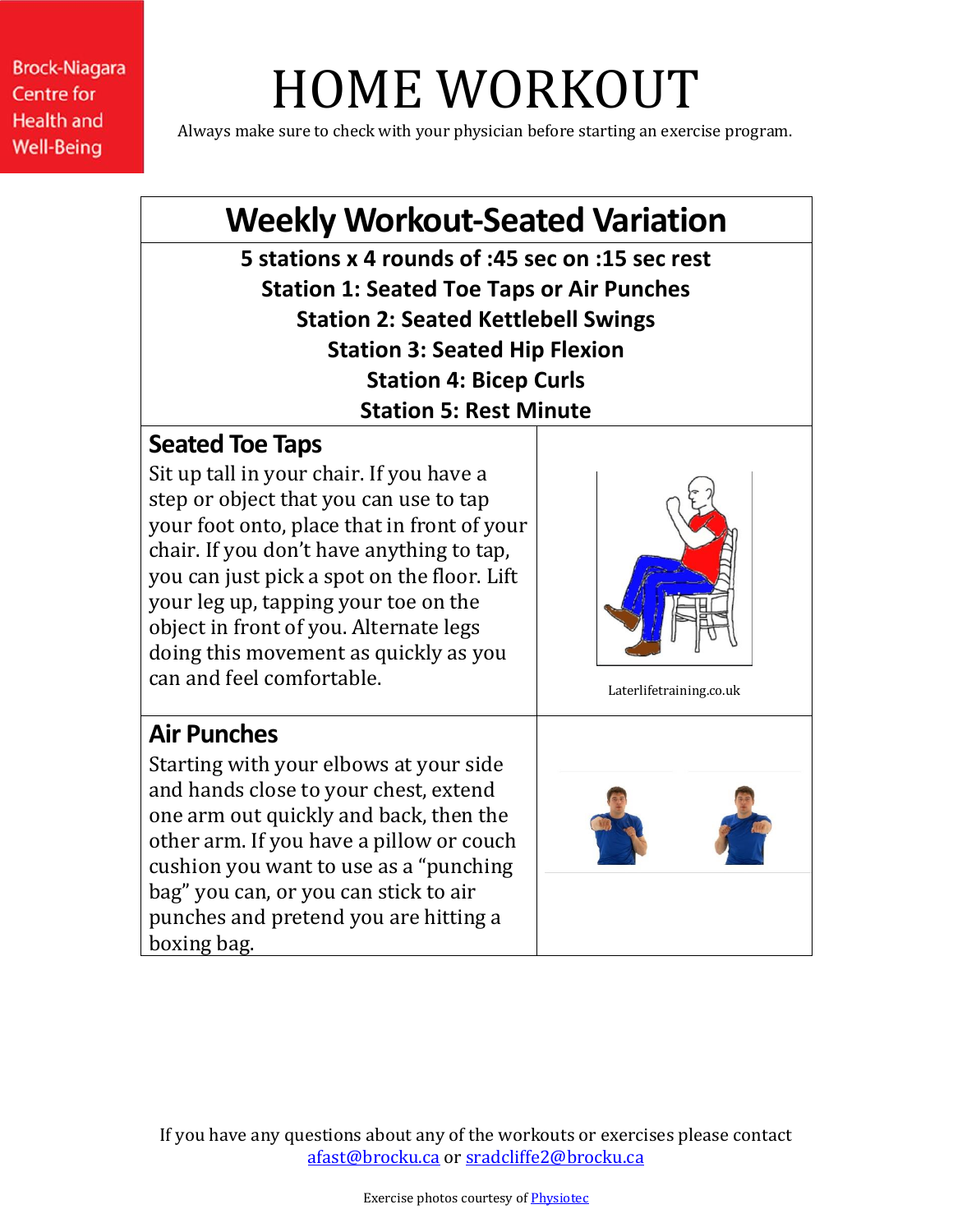# HOME WORKOUT

Always make sure to check with your physician before starting an exercise program.

## **Weekly Workout-Seated Variation**

**5 stations x 4 rounds of :45 sec on :15 sec rest Station 1: Seated Toe Taps or Air Punches Station 2: Seated Kettlebell Swings Station 3: Seated Hip Flexion Station 4: Bicep Curls Station 5: Rest Minute**

#### **Seated Toe Taps**

Sit up tall in your chair. If you have a step or object that you can use to tap your foot onto, place that in front of your chair. If you don't have anything to tap, you can just pick a spot on the floor. Lift your leg up, tapping your toe on the object in front of you. Alternate legs doing this movement as quickly as you can and feel comfortable.



Laterlifetraining.co.uk

## **Air Punches**

Starting with your elbows at your side and hands close to your chest, extend one arm out quickly and back, then the other arm. If you have a pillow or couch cushion you want to use as a "punching bag" you can, or you can stick to air punches and pretend you are hitting a boxing bag.